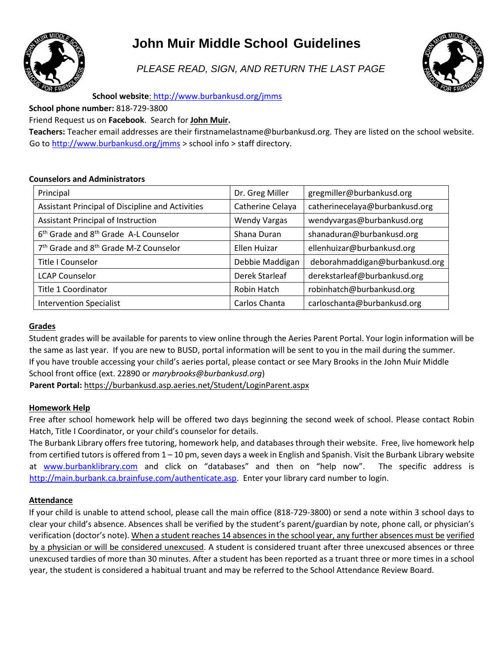

# **John Muir Middle School Guidelines**

*PLEASE READ, SIGN, AND RETURN THE LAST PAGE* 



**School website**: <http://www.burbankusd.org/jmms>

**School phone number:** 818-729-3800

## Friend Request us on **Facebook**. Search for **John Muir.**

**Teachers:** Teacher email addresses are their firstnamelastname@burbankusd.org. They are listed on the school website. Go to<http://www.burbankusd.org/jmms> > school info > staff directory.

## **Counselors and Administrators**

| Principal                                                     | Dr. Greg Miller     | gregmiller@burbankusd.org      |
|---------------------------------------------------------------|---------------------|--------------------------------|
| Assistant Principal of Discipline and Activities              | Catherine Celaya    | catherinecelaya@burbankusd.org |
| <b>Assistant Principal of Instruction</b>                     | <b>Wendy Vargas</b> | wendyvargas@burbankusd.org     |
| 6 <sup>th</sup> Grade and 8 <sup>th</sup> Grade A-L Counselor | Shana Duran         | shanaduran@burbankusd.org      |
| 7 <sup>th</sup> Grade and 8 <sup>th</sup> Grade M-Z Counselor | Ellen Huizar        | ellenhuizar@burbankusd.org     |
| Title I Counselor                                             | Debbie Maddigan     | deborahmaddigan@burbankusd.org |
| <b>LCAP Counselor</b>                                         | Derek Starleaf      | derekstarleaf@burbankusd.org   |
| Title 1 Coordinator                                           | <b>Robin Hatch</b>  | robinhatch@burbankusd.org      |
| <b>Intervention Specialist</b>                                | Carlos Chanta       | carloschanta@burbankusd.org    |

## **Grades**

Student grades will be available for parents to view online through the Aeries Parent Portal. Your login information will be the same as last year. If you are new to BUSD, portal information will be sent to you in the mail during the summer. If you have trouble accessing your child's aeries portal, please contact or see Mary Brooks in the John Muir Middle School front office (ext. 22890 or *marybrooks@burbankusd.org*)

**Parent Portal[:](https://burbankusd.asp.aeries.net/Student/LoginParent.aspx)** <https://burbankusd.asp.aeries.net/Student/LoginParent.aspx>

## **Homework Help**

Free after school homework help will be offered two days beginning the second week of school. Please contact Robin Hatch, Title I Coordinator, or your child's counselor for details.

The Burbank Library offers free tutoring, homework help, and databases through their website. Free, live homework help from certified tutors is offered from  $1 - 10$  pm, seven days a week in English and Spanish. Visit the Burbank Library website at [www.burbanklibrary.com](http://www.burbanklibrary.com/) and click on "databases" and then on "help now". The specific address is [http://main.burbank.ca.brainfuse.com/authenticate.asp.](http://main.burbank.ca.brainfuse.com/authenticate.asp) Enter your library card number to login.

## **Attendance**

If your child is unable to attend school, please call the main office (818-729-3800) or send a note within 3 school days to clear your child's absence. Absences shall be verified by the student's parent/guardian by note, phone call, or physician's verification (doctor's note). When a student reaches 14 absences in the school year, any further absences must be verified by a physician or will be considered unexcused. A student is considered truant after three unexcused absences or three unexcused tardies of more than 30 minutes. After a student has been reported as a truant three or more times in a school year, the student is considered a habitual truant and may be referred to the School Attendance Review Board.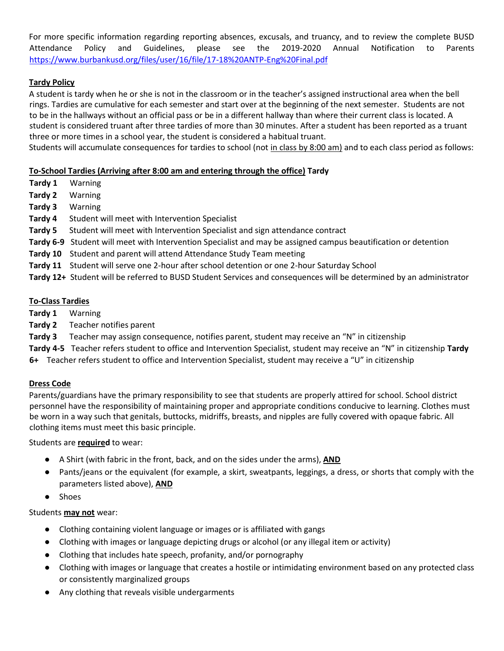For more specific information regarding reporting absences, excusals, and truancy, and to review the complete BUSD Attendance Policy and Guidelines, please see the 2019-2020 Annual Notification to Parents <https://www.burbankusd.org/files/user/16/file/17-18%20ANTP-Eng%20Final.pdf>

# **Tardy Policy**

A student is tardy when he or she is not in the classroom or in the teacher's assigned instructional area when the bell rings. Tardies are cumulative for each semester and start over at the beginning of the next semester. Students are not to be in the hallways without an official pass or be in a different hallway than where their current class is located. A student is considered truant after three tardies of more than 30 minutes. After a student has been reported as a truant three or more times in a school year, the student is considered a habitual truant.

Students will accumulate consequences for tardies to school (not in class by 8:00 am) and to each class period as follows:

## **To-School Tardies (Arriving after 8:00 am and entering through the office) Tardy**

- **Tardy 1** Warning
- **Tardy 2** Warning
- **Tardy 3** Warning
- **Tardy 4** Student will meet with Intervention Specialist
- **Tardy 5** Student will meet with Intervention Specialist and sign attendance contract
- **Tardy 6-9** Student will meet with Intervention Specialist and may be assigned campus beautification or detention
- **Tardy 10** Student and parent will attend Attendance Study Team meeting
- **Tardy 11** Student will serve one 2-hour after school detention or one 2-hour Saturday School
- **Tardy 12+** Student will be referred to BUSD Student Services and consequences will be determined by an administrator

## **To-Class Tardies**

- **Tardy 1** Warning
- **Tardy 2** Teacher notifies parent
- **Tardy 3** Teacher may assign consequence, notifies parent, student may receive an "N" in citizenship
- **Tardy 4-5** Teacher refers student to office and Intervention Specialist, student may receive an "N" in citizenship **Tardy**
- **6+** Teacher refers student to office and Intervention Specialist, student may receive a "U" in citizenship

## **Dress Code**

Parents/guardians have the primary responsibility to see that students are properly attired for school. School district personnel have the responsibility of maintaining proper and appropriate conditions conducive to learning. Clothes must be worn in a way such that genitals, buttocks, midriffs, breasts, and nipples are fully covered with opaque fabric. All clothing items must meet this basic principle.

## Students are **required** to wear:

- A Shirt (with fabric in the front, back, and on the sides under the arms), **AND**
- Pants/jeans or the equivalent (for example, a skirt, sweatpants, leggings, a dress, or shorts that comply with the parameters listed above), **AND**
- Shoes

## Students **may not** wear:

- Clothing containing violent language or images or is affiliated with gangs
- Clothing with images or language depicting drugs or alcohol (or any illegal item or activity)
- Clothing that includes hate speech, profanity, and/or pornography
- Clothing with images or language that creates a hostile or intimidating environment based on any protected class or consistently marginalized groups
- Any clothing that reveals visible undergarments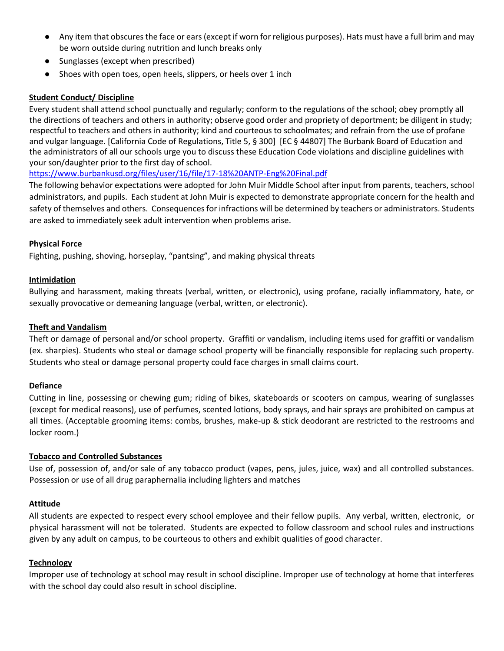- Any item that obscures the face or ears (except if worn for religious purposes). Hats must have a full brim and may be worn outside during nutrition and lunch breaks only
- Sunglasses (except when prescribed)
- Shoes with open toes, open heels, slippers, or heels over 1 inch

#### **Student Conduct/ Discipline**

Every student shall attend school punctually and regularly; conform to the regulations of the school; obey promptly all the directions of teachers and others in authority; observe good order and propriety of deportment; be diligent in study; respectful to teachers and others in authority; kind and courteous to schoolmates; and refrain from the use of profane and vulgar language. [California Code of Regulations, Title 5, § 300] [EC § 44807] The Burbank Board of Education and the administrators of all our schools urge you to discuss these Education Code violations and discipline guidelines with your son/daughter prior to the first day of school.

<https://www.burbankusd.org/files/user/16/file/17-18%20ANTP-Eng%20Final.pdf>

The following behavior expectations were adopted for John Muir Middle School after input from parents, teachers, school administrators, and pupils. Each student at John Muir is expected to demonstrate appropriate concern for the health and safety of themselves and others. Consequences for infractions will be determined by teachers or administrators. Students are asked to immediately seek adult intervention when problems arise.

#### **Physical Force**

Fighting, pushing, shoving, horseplay, "pantsing", and making physical threats

#### **Intimidation**

Bullying and harassment, making threats (verbal, written, or electronic), using profane, racially inflammatory, hate, or sexually provocative or demeaning language (verbal, written, or electronic).

#### **Theft and Vandalism**

Theft or damage of personal and/or school property. Graffiti or vandalism, including items used for graffiti or vandalism (ex. sharpies). Students who steal or damage school property will be financially responsible for replacing such property. Students who steal or damage personal property could face charges in small claims court.

#### **Defiance**

Cutting in line, possessing or chewing gum; riding of bikes, skateboards or scooters on campus, wearing of sunglasses (except for medical reasons), use of perfumes, scented lotions, body sprays, and hair sprays are prohibited on campus at all times. (Acceptable grooming items: combs, brushes, make-up & stick deodorant are restricted to the restrooms and locker room.)

#### **Tobacco and Controlled Substances**

Use of, possession of, and/or sale of any tobacco product (vapes, pens, jules, juice, wax) and all controlled substances. Possession or use of all drug paraphernalia including lighters and matches

#### **Attitude**

All students are expected to respect every school employee and their fellow pupils. Any verbal, written, electronic, or physical harassment will not be tolerated. Students are expected to follow classroom and school rules and instructions given by any adult on campus, to be courteous to others and exhibit qualities of good character.

#### **Technology**

Improper use of technology at school may result in school discipline. Improper use of technology at home that interferes with the school day could also result in school discipline.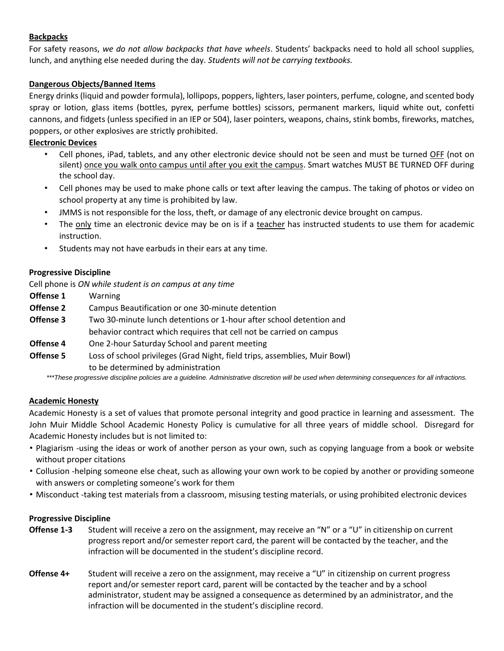## **Backpacks**

For safety reasons, *we do not allow backpacks that have wheels*. Students' backpacks need to hold all school supplies, lunch, and anything else needed during the day. *Students will not be carrying textbooks.* 

# **Dangerous Objects/Banned Items**

Energy drinks (liquid and powder formula), lollipops, poppers, lighters, laser pointers, perfume, cologne, and scented body spray or lotion, glass items (bottles, pyrex, perfume bottles) scissors, permanent markers, liquid white out, confetti cannons, and fidgets (unless specified in an IEP or 504), laser pointers, weapons, chains, stink bombs, fireworks, matches, poppers, or other explosives are strictly prohibited.

## **Electronic Devices**

- Cell phones, iPad, tablets, and any other electronic device should not be seen and must be turned OFF (not on silent) once you walk onto campus until after you exit the campus. Smart watches MUST BE TURNED OFF during the school day.
- Cell phones may be used to make phone calls or text after leaving the campus. The taking of photos or video on school property at any time is prohibited by law.
- JMMS is not responsible for the loss, theft, or damage of any electronic device brought on campus.
- The only time an electronic device may be on is if a teacher has instructed students to use them for academic instruction.
- Students may not have earbuds in their ears at any time.

## **Progressive Discipline**

Cell phone is *ON while student is on campus at any time*

- **Offense 1** Warning
- **Offense 2** Campus Beautification or one 30-minute detention
- **Offense 3** Two 30-minute lunch detentions or 1-hour after school detention and behavior contract which requires that cell not be carried on campus
- **Offense 4** One 2-hour Saturday School and parent meeting
- **Offense 5** Loss of school privileges (Grad Night, field trips, assemblies, Muir Bowl) to be determined by administration

\*\*\*These progressive discipline policies are a guideline. Administrative discretion will be used when determining consequences for all infractions.

## **Academic Honesty**

Academic Honesty is a set of values that promote personal integrity and good practice in learning and assessment. The John Muir Middle School Academic Honesty Policy is cumulative for all three years of middle school. Disregard for Academic Honesty includes but is not limited to:

- Plagiarism -using the ideas or work of another person as your own, such as copying language from a book or website without proper citations
- Collusion -helping someone else cheat, such as allowing your own work to be copied by another or providing someone with answers or completing someone's work for them
- Misconduct -taking test materials from a classroom, misusing testing materials, or using prohibited electronic devices

#### **Progressive Discipline**

- **Offense 1-3** Student will receive a zero on the assignment, may receive an "N" or a "U" in citizenship on current progress report and/or semester report card, the parent will be contacted by the teacher, and the infraction will be documented in the student's discipline record.
- **Offense 4+** Student will receive a zero on the assignment, may receive a "U" in citizenship on current progress report and/or semester report card, parent will be contacted by the teacher and by a school administrator, student may be assigned a consequence as determined by an administrator, and the infraction will be documented in the student's discipline record.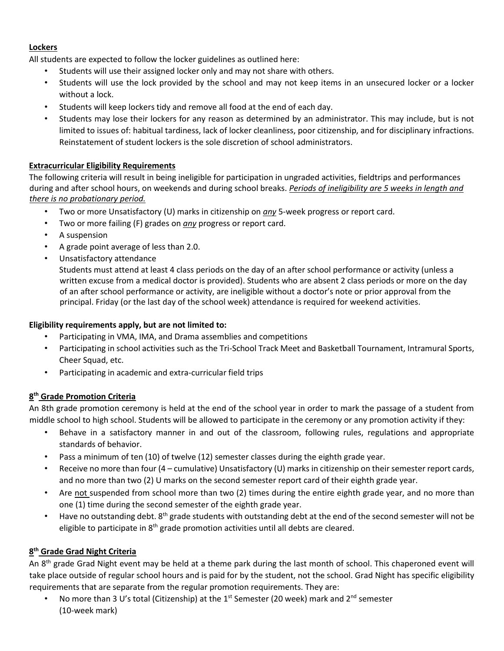## **Lockers**

All students are expected to follow the locker guidelines as outlined here:

- Students will use their assigned locker only and may not share with others.
- Students will use the lock provided by the school and may not keep items in an unsecured locker or a locker without a lock.
- Students will keep lockers tidy and remove all food at the end of each day.
- Students may lose their lockers for any reason as determined by an administrator. This may include, but is not limited to issues of: habitual tardiness, lack of locker cleanliness, poor citizenship, and for disciplinary infractions. Reinstatement of student lockers is the sole discretion of school administrators.

## **Extracurricular Eligibility Requirements**

The following criteria will result in being ineligible for participation in ungraded activities, fieldtrips and performances during and after school hours, on weekends and during school breaks. *Periods of ineligibility are 5 weeks in length and there is no probationary period.*

- Two or more Unsatisfactory (U) marks in citizenship on *any* 5-week progress or report card.
- Two or more failing (F) grades on *any* progress or report card.
- A suspension
- A grade point average of less than 2.0.
- Unsatisfactory attendance

Students must attend at least 4 class periods on the day of an after school performance or activity (unless a written excuse from a medical doctor is provided). Students who are absent 2 class periods or more on the day of an after school performance or activity, are ineligible without a doctor's note or prior approval from the principal. Friday (or the last day of the school week) attendance is required for weekend activities.

#### **Eligibility requirements apply, but are not limited to:**

- Participating in VMA, IMA, and Drama assemblies and competitions
- Participating in school activities such as the Tri-School Track Meet and Basketball Tournament, Intramural Sports, Cheer Squad, etc.
- Participating in academic and extra-curricular field trips

#### **8 th Grade Promotion Criteria**

An 8th grade promotion ceremony is held at the end of the school year in order to mark the passage of a student from middle school to high school. Students will be allowed to participate in the ceremony or any promotion activity if they:

- Behave in a satisfactory manner in and out of the classroom, following rules, regulations and appropriate standards of behavior.
- Pass a minimum of ten (10) of twelve (12) semester classes during the eighth grade year.
- Receive no more than four (4 cumulative) Unsatisfactory (U) marks in citizenship on their semester report cards, and no more than two (2) U marks on the second semester report card of their eighth grade year.
- Are not suspended from school more than two (2) times during the entire eighth grade year, and no more than one (1) time during the second semester of the eighth grade year.
- Have no outstanding debt. 8<sup>th</sup> grade students with outstanding debt at the end of the second semester will not be eligible to participate in 8<sup>th</sup> grade promotion activities until all debts are cleared.

## **8 th Grade Grad Night Criteria**

An 8<sup>th</sup> grade Grad Night event may be held at a theme park during the last month of school. This chaperoned event will take place outside of regular school hours and is paid for by the student, not the school. Grad Night has specific eligibility requirements that are separate from the regular promotion requirements. They are:

No more than 3 U's total (Citizenship) at the 1<sup>st</sup> Semester (20 week) mark and 2<sup>nd</sup> semester (10-week mark)